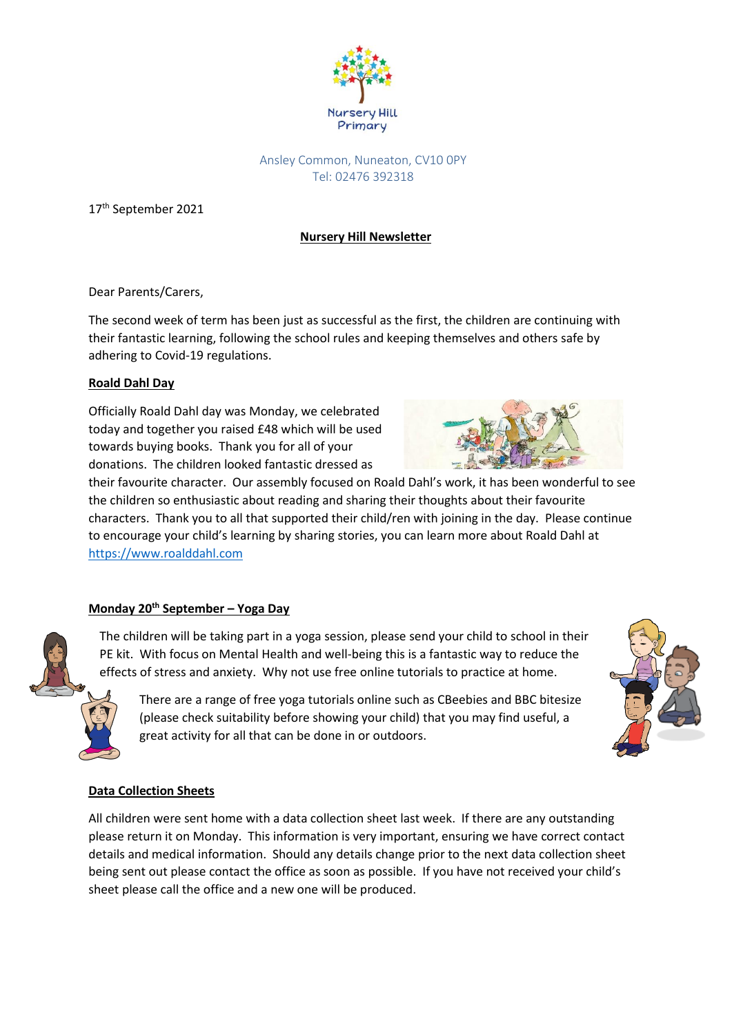

## Ansley Common, Nuneaton, CV10 0PY Tel: 02476 392318

17<sup>th</sup> September 2021

# **Nursery Hill Newsletter**

Dear Parents/Carers,

The second week of term has been just as successful as the first, the children are continuing with their fantastic learning, following the school rules and keeping themselves and others safe by adhering to Covid-19 regulations.

## **Roald Dahl Day**

Officially Roald Dahl day was Monday, we celebrated today and together you raised £48 which will be used towards buying books. Thank you for all of your donations. The children looked fantastic dressed as



their favourite character. Our assembly focused on Roald Dahl's work, it has been wonderful to see the children so enthusiastic about reading and sharing their thoughts about their favourite characters. Thank you to all that supported their child/ren with joining in the day. Please continue to encourage your child's learning by sharing stories, you can learn more about Roald Dahl at [https://www.roalddahl.com](https://www.roalddahl.com/)

## **Monday 20th September – Yoga Day**

The children will be taking part in a yoga session, please send your child to school in their PE kit. With focus on Mental Health and well-being this is a fantastic way to reduce the effects of stress and anxiety. Why not use free online tutorials to practice at home.

There are a range of free yoga tutorials online such as CBeebies and BBC bitesize (please check suitability before showing your child) that you may find useful, a great activity for all that can be done in or outdoors.



## **Data Collection Sheets**

All children were sent home with a data collection sheet last week. If there are any outstanding please return it on Monday. This information is very important, ensuring we have correct contact details and medical information. Should any details change prior to the next data collection sheet being sent out please contact the office as soon as possible. If you have not received your child's sheet please call the office and a new one will be produced.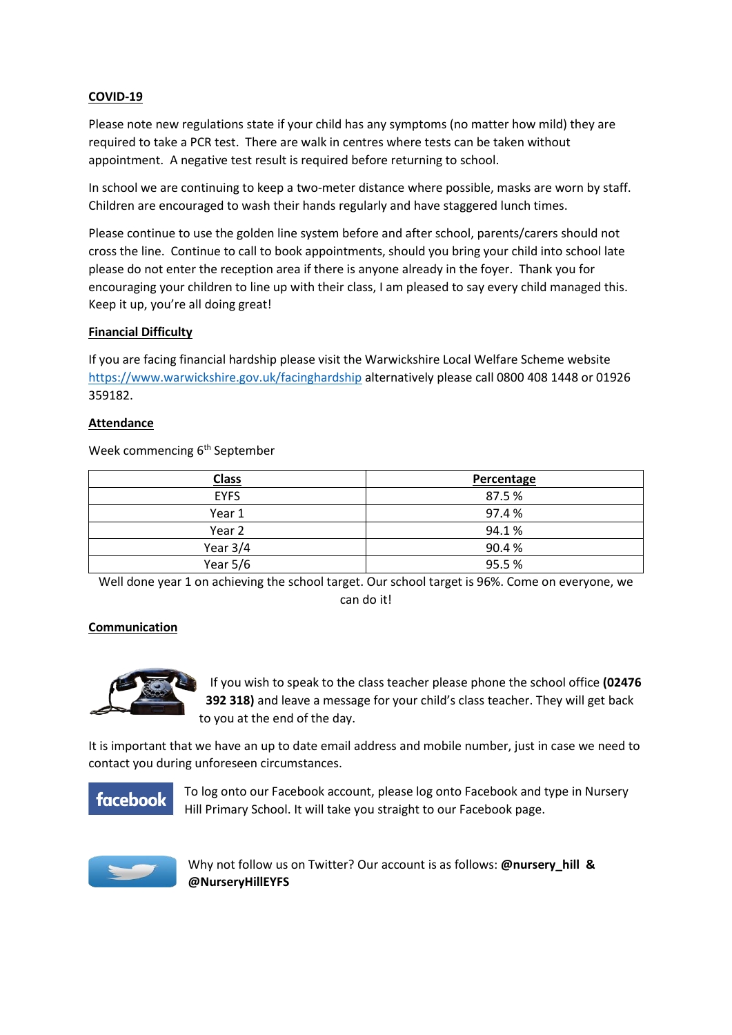#### **COVID-19**

Please note new regulations state if your child has any symptoms (no matter how mild) they are required to take a PCR test. There are walk in centres where tests can be taken without appointment. A negative test result is required before returning to school.

In school we are continuing to keep a two-meter distance where possible, masks are worn by staff. Children are encouraged to wash their hands regularly and have staggered lunch times.

Please continue to use the golden line system before and after school, parents/carers should not cross the line. Continue to call to book appointments, should you bring your child into school late please do not enter the reception area if there is anyone already in the foyer. Thank you for encouraging your children to line up with their class, I am pleased to say every child managed this. Keep it up, you're all doing great!

#### **Financial Difficulty**

If you are facing financial hardship please visit the Warwickshire Local Welfare Scheme website <https://www.warwickshire.gov.uk/facinghardship> alternatively please call 0800 408 1448 or 01926 359182.

#### **Attendance**

Week commencing 6<sup>th</sup> September

| <b>Class</b> | Percentage |
|--------------|------------|
| <b>EYFS</b>  | 87.5%      |
| Year 1       | 97.4 %     |
| Year 2       | 94.1%      |
| Year $3/4$   | 90.4%      |
| Year $5/6$   | 95.5%      |

Well done year 1 on achieving the school target. Our school target is 96%. Come on everyone, we can do it!

#### **Communication**



If you wish to speak to the class teacher please phone the school office **(02476 392 318)** and leave a message for your child's class teacher. They will get back to you at the end of the day.

It is important that we have an up to date email address and mobile number, just in case we need to contact you during unforeseen circumstances.

# **facebook**

To log onto our Facebook account, please log onto Facebook and type in Nursery Hill Primary School. It will take you straight to our Facebook page.



Why not follow us on Twitter? Our account is as follows: **@nursery\_hill & @NurseryHillEYFS**